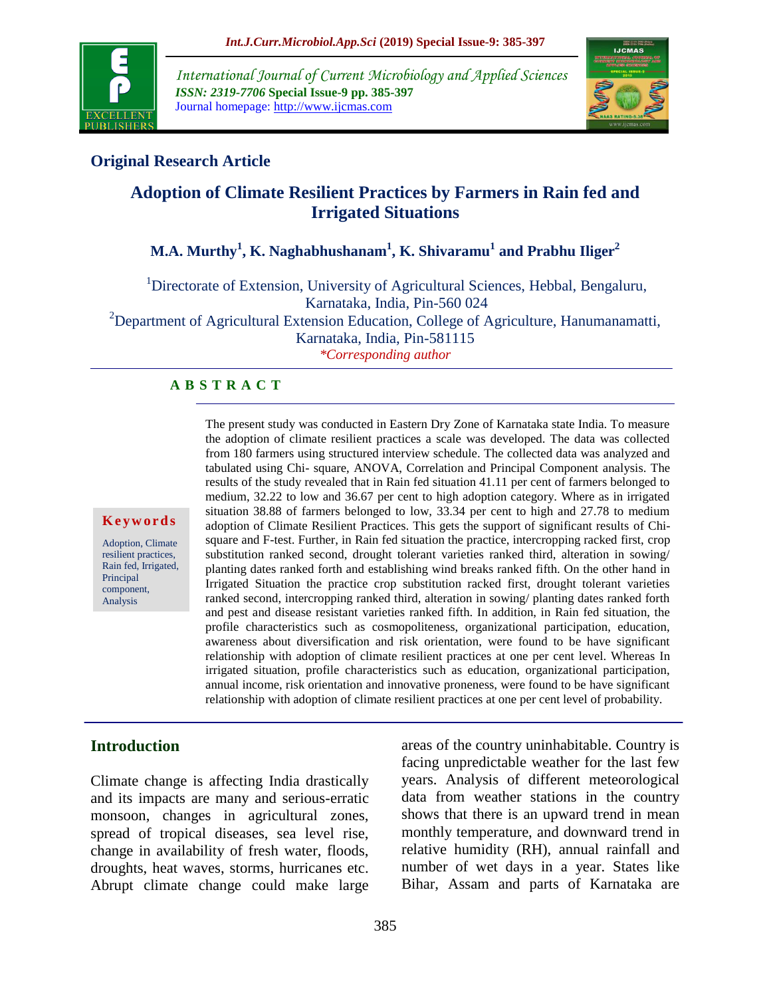

*International Journal of Current Microbiology and Applied Sciences ISSN: 2319-7706* **Special Issue-9 pp. 385-397** Journal homepage: http://www.ijcmas.com



# **Original Research Article**

# **Adoption of Climate Resilient Practices by Farmers in Rain fed and Irrigated Situations**

# **M.A. Murthy<sup>1</sup> , K. Naghabhushanam<sup>1</sup> , K. Shivaramu<sup>1</sup> and Prabhu Iliger<sup>2</sup>**

<sup>1</sup>Directorate of Extension, University of Agricultural Sciences, Hebbal, Bengaluru, Karnataka, India, Pin-560 024 <sup>2</sup>Department of Agricultural Extension Education, College of Agriculture, Hanumanamatti, Karnataka, India, Pin-581115 *\*Corresponding author*

#### **A B S T R A C T**

#### **K e y w o r d s**

Adoption, Climate resilient practices, Rain fed, Irrigated, Principal component, Analysis

The present study was conducted in Eastern Dry Zone of Karnataka state India. To measure the adoption of climate resilient practices a scale was developed. The data was collected from 180 farmers using structured interview schedule. The collected data was analyzed and tabulated using Chi- square, ANOVA, Correlation and Principal Component analysis. The results of the study revealed that in Rain fed situation 41.11 per cent of farmers belonged to medium, 32.22 to low and 36.67 per cent to high adoption category. Where as in irrigated situation 38.88 of farmers belonged to low, 33.34 per cent to high and 27.78 to medium adoption of Climate Resilient Practices. This gets the support of significant results of Chisquare and F-test. Further, in Rain fed situation the practice, intercropping racked first, crop substitution ranked second, drought tolerant varieties ranked third, alteration in sowing/ planting dates ranked forth and establishing wind breaks ranked fifth. On the other hand in Irrigated Situation the practice crop substitution racked first, drought tolerant varieties ranked second, intercropping ranked third, alteration in sowing/ planting dates ranked forth and pest and disease resistant varieties ranked fifth. In addition, in Rain fed situation, the profile characteristics such as cosmopoliteness, organizational participation, education, awareness about diversification and risk orientation, were found to be have significant relationship with adoption of climate resilient practices at one per cent level. Whereas In irrigated situation, profile characteristics such as education, organizational participation, annual income, risk orientation and innovative proneness, were found to be have significant relationship with adoption of climate resilient practices at one per cent level of probability.

#### **Introduction**

Climate change is affecting India drastically and its impacts are many and serious-erratic monsoon, changes in agricultural zones, spread of tropical diseases, sea level rise, change in availability of fresh water, floods, droughts, heat waves, storms, hurricanes etc. Abrupt climate change could make large areas of the country uninhabitable. Country is facing unpredictable weather for the last few years. Analysis of different meteorological data from weather stations in the country shows that there is an upward trend in mean monthly temperature, and downward trend in relative humidity (RH), annual rainfall and number of wet days in a year. States like Bihar, Assam and parts of Karnataka are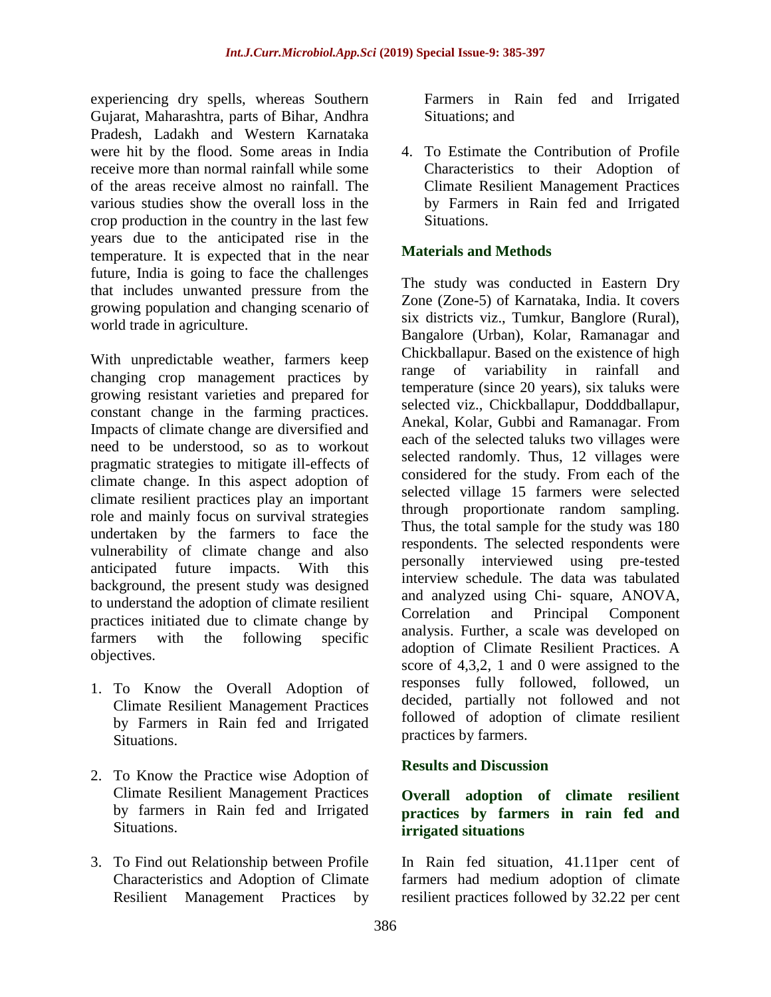experiencing dry spells, whereas Southern Gujarat, Maharashtra, parts of Bihar, Andhra Pradesh, Ladakh and Western Karnataka were hit by the flood. Some areas in India receive more than normal rainfall while some of the areas receive almost no rainfall. The various studies show the overall loss in the crop production in the country in the last few years due to the anticipated rise in the temperature. It is expected that in the near future, India is going to face the challenges that includes unwanted pressure from the growing population and changing scenario of world trade in agriculture.

With unpredictable weather, farmers keep changing crop management practices by growing resistant varieties and prepared for constant change in the farming practices. Impacts of climate change are diversified and need to be understood, so as to workout pragmatic strategies to mitigate ill-effects of climate change. In this aspect adoption of climate resilient practices play an important role and mainly focus on survival strategies undertaken by the farmers to face the vulnerability of climate change and also anticipated future impacts. With this background, the present study was designed to understand the adoption of climate resilient practices initiated due to climate change by farmers with the following specific objectives.

- 1. To Know the Overall Adoption of Climate Resilient Management Practices by Farmers in Rain fed and Irrigated Situations.
- 2. To Know the Practice wise Adoption of Climate Resilient Management Practices by farmers in Rain fed and Irrigated Situations.
- 3. To Find out Relationship between Profile Characteristics and Adoption of Climate Resilient Management Practices by

Farmers in Rain fed and Irrigated Situations; and

4. To Estimate the Contribution of Profile Characteristics to their Adoption of Climate Resilient Management Practices by Farmers in Rain fed and Irrigated Situations.

## **Materials and Methods**

The study was conducted in Eastern Dry Zone (Zone-5) of Karnataka, India. It covers six districts viz., Tumkur, Banglore (Rural), Bangalore (Urban), Kolar, Ramanagar and Chickballapur. Based on the existence of high range of variability in rainfall and temperature (since 20 years), six taluks were selected viz., Chickballapur, Dodddballapur, Anekal, Kolar, Gubbi and Ramanagar. From each of the selected taluks two villages were selected randomly. Thus, 12 villages were considered for the study. From each of the selected village 15 farmers were selected through proportionate random sampling. Thus, the total sample for the study was 180 respondents. The selected respondents were personally interviewed using pre-tested interview schedule. The data was tabulated and analyzed using Chi- square, ANOVA, Correlation and Principal Component analysis. Further, a scale was developed on adoption of Climate Resilient Practices. A score of 4,3,2, 1 and 0 were assigned to the responses fully followed, followed, un decided, partially not followed and not followed of adoption of climate resilient practices by farmers.

#### **Results and Discussion**

## **Overall adoption of climate resilient practices by farmers in rain fed and irrigated situations**

In Rain fed situation, 41.11per cent of farmers had medium adoption of climate resilient practices followed by 32.22 per cent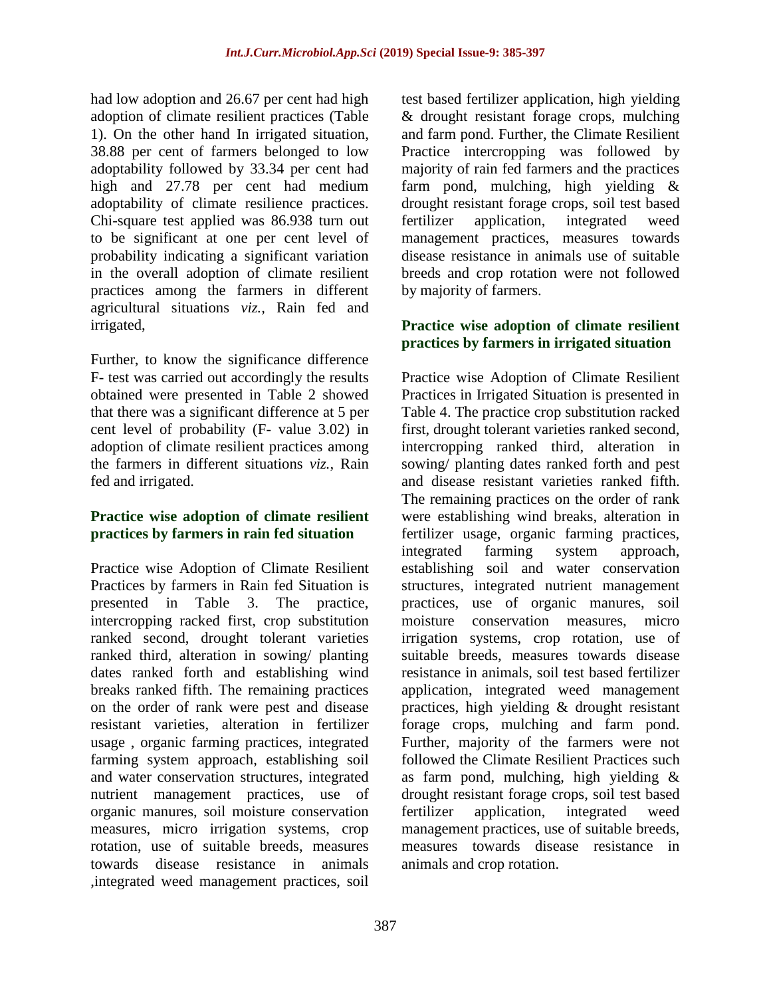had low adoption and 26.67 per cent had high adoption of climate resilient practices (Table 1). On the other hand In irrigated situation, 38.88 per cent of farmers belonged to low adoptability followed by 33.34 per cent had high and 27.78 per cent had medium adoptability of climate resilience practices. Chi-square test applied was 86.938 turn out to be significant at one per cent level of probability indicating a significant variation in the overall adoption of climate resilient practices among the farmers in different agricultural situations *viz.,* Rain fed and irrigated,

Further, to know the significance difference F- test was carried out accordingly the results obtained were presented in Table 2 showed that there was a significant difference at 5 per cent level of probability (F- value 3.02) in adoption of climate resilient practices among the farmers in different situations *viz.,* Rain fed and irrigated.

## **Practice wise adoption of climate resilient practices by farmers in rain fed situation**

Practice wise Adoption of Climate Resilient Practices by farmers in Rain fed Situation is presented in Table 3. The practice, intercropping racked first, crop substitution ranked second, drought tolerant varieties ranked third, alteration in sowing/ planting dates ranked forth and establishing wind breaks ranked fifth. The remaining practices on the order of rank were pest and disease resistant varieties, alteration in fertilizer usage , organic farming practices, integrated farming system approach, establishing soil and water conservation structures, integrated nutrient management practices, use of organic manures, soil moisture conservation measures, micro irrigation systems, crop rotation, use of suitable breeds, measures towards disease resistance in animals ,integrated weed management practices, soil

test based fertilizer application, high yielding & drought resistant forage crops, mulching and farm pond. Further, the Climate Resilient Practice intercropping was followed by majority of rain fed farmers and the practices farm pond, mulching, high yielding & drought resistant forage crops, soil test based fertilizer application, integrated weed management practices, measures towards disease resistance in animals use of suitable breeds and crop rotation were not followed by majority of farmers.

### **Practice wise adoption of climate resilient practices by farmers in irrigated situation**

Practice wise Adoption of Climate Resilient Practices in Irrigated Situation is presented in Table 4. The practice crop substitution racked first, drought tolerant varieties ranked second, intercropping ranked third, alteration in sowing/ planting dates ranked forth and pest and disease resistant varieties ranked fifth. The remaining practices on the order of rank were establishing wind breaks, alteration in fertilizer usage, organic farming practices, integrated farming system approach, establishing soil and water conservation structures, integrated nutrient management practices, use of organic manures, soil moisture conservation measures, micro irrigation systems, crop rotation, use of suitable breeds, measures towards disease resistance in animals, soil test based fertilizer application, integrated weed management practices, high yielding & drought resistant forage crops, mulching and farm pond. Further, majority of the farmers were not followed the Climate Resilient Practices such as farm pond, mulching, high yielding & drought resistant forage crops, soil test based fertilizer application, integrated weed management practices, use of suitable breeds, measures towards disease resistance in animals and crop rotation.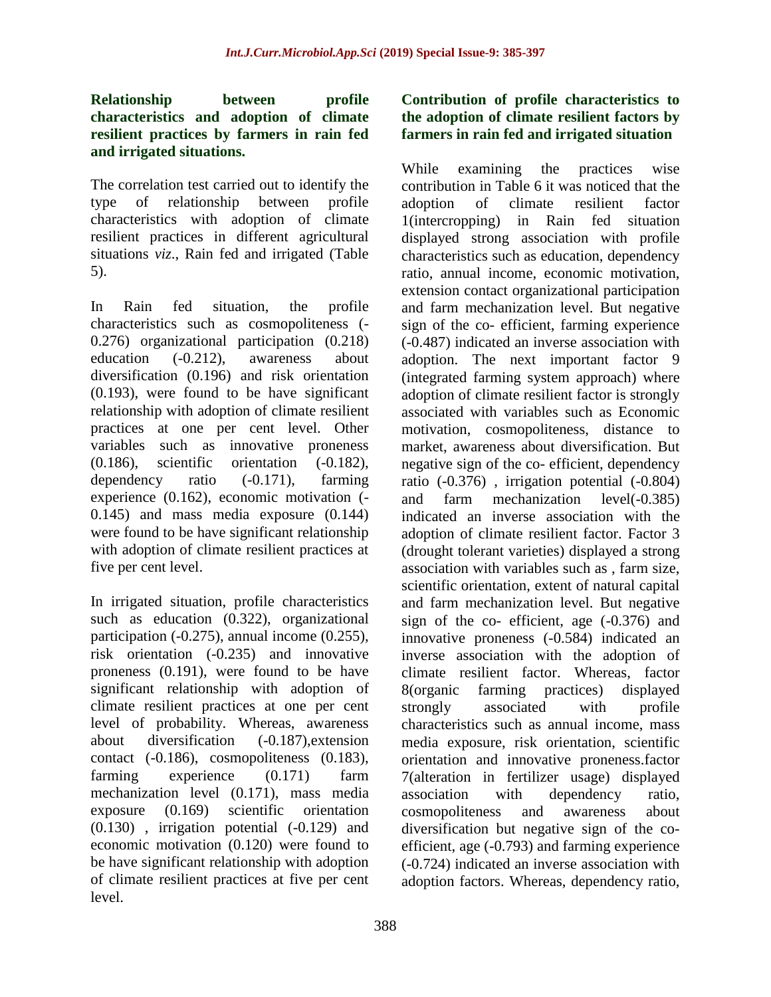#### **Relationship between profile characteristics and adoption of climate resilient practices by farmers in rain fed and irrigated situations.**

The correlation test carried out to identify the type of relationship between profile characteristics with adoption of climate resilient practices in different agricultural situations *viz*., Rain fed and irrigated (Table 5).

In Rain fed situation, the profile characteristics such as cosmopoliteness (- 0.276) organizational participation (0.218) education (-0.212), awareness about diversification (0.196) and risk orientation (0.193), were found to be have significant relationship with adoption of climate resilient practices at one per cent level. Other variables such as innovative proneness (0.186), scientific orientation (-0.182), dependency ratio (-0.171), farming experience (0.162), economic motivation (- 0.145) and mass media exposure (0.144) were found to be have significant relationship with adoption of climate resilient practices at five per cent level.

In irrigated situation, profile characteristics such as education (0.322), organizational participation (-0.275), annual income (0.255), risk orientation (-0.235) and innovative proneness (0.191), were found to be have significant relationship with adoption of climate resilient practices at one per cent level of probability. Whereas, awareness about diversification (-0.187),extension contact (-0.186), cosmopoliteness (0.183), farming experience (0.171) farm mechanization level (0.171), mass media exposure (0.169) scientific orientation (0.130) , irrigation potential (-0.129) and economic motivation (0.120) were found to be have significant relationship with adoption of climate resilient practices at five per cent level.

## **Contribution of profile characteristics to the adoption of climate resilient factors by farmers in rain fed and irrigated situation**

While examining the practices wise contribution in Table 6 it was noticed that the adoption of climate resilient factor 1(intercropping) in Rain fed situation displayed strong association with profile characteristics such as education, dependency ratio, annual income, economic motivation, extension contact organizational participation and farm mechanization level. But negative sign of the co- efficient, farming experience (-0.487) indicated an inverse association with adoption. The next important factor 9 (integrated farming system approach) where adoption of climate resilient factor is strongly associated with variables such as Economic motivation, cosmopoliteness, distance to market, awareness about diversification. But negative sign of the co- efficient, dependency ratio (-0.376) , irrigation potential (-0.804) and farm mechanization level(-0.385) indicated an inverse association with the adoption of climate resilient factor. Factor 3 (drought tolerant varieties) displayed a strong association with variables such as , farm size, scientific orientation, extent of natural capital and farm mechanization level. But negative sign of the co- efficient, age (-0.376) and innovative proneness (-0.584) indicated an inverse association with the adoption of climate resilient factor. Whereas, factor 8(organic farming practices) displayed strongly associated with profile characteristics such as annual income, mass media exposure, risk orientation, scientific orientation and innovative proneness.factor 7(alteration in fertilizer usage) displayed association with dependency ratio, cosmopoliteness and awareness about diversification but negative sign of the coefficient, age (-0.793) and farming experience (-0.724) indicated an inverse association with adoption factors. Whereas, dependency ratio,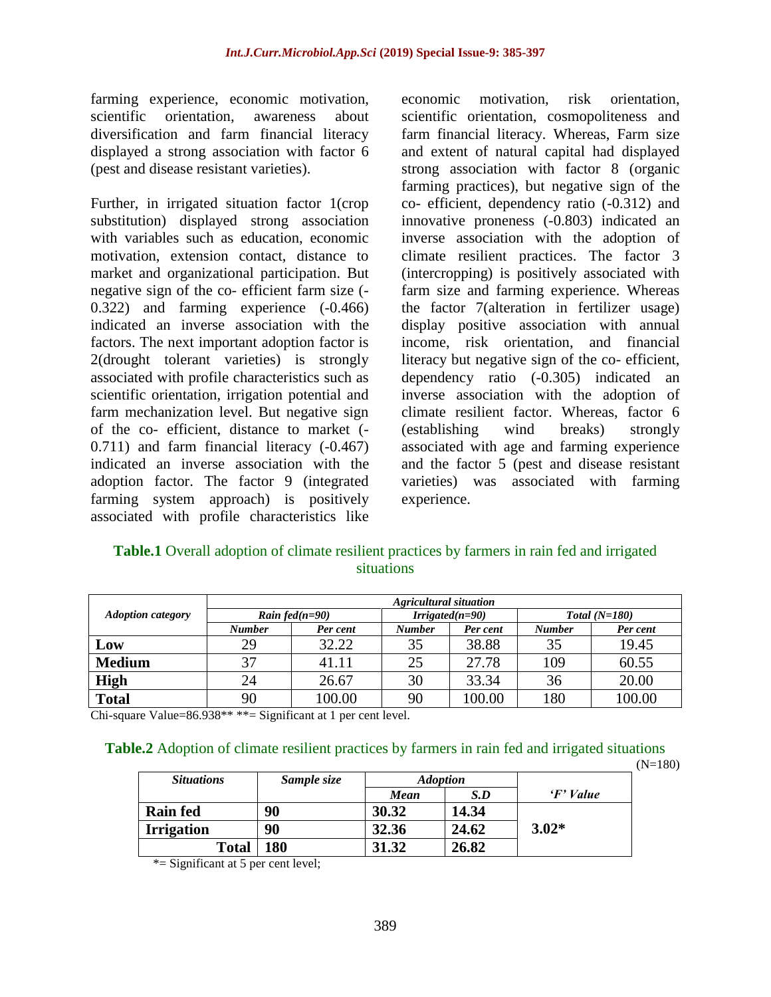farming experience, economic motivation, scientific orientation, awareness about diversification and farm financial literacy displayed a strong association with factor 6 (pest and disease resistant varieties).

Further, in irrigated situation factor 1(crop substitution) displayed strong association with variables such as education, economic motivation, extension contact, distance to market and organizational participation. But negative sign of the co- efficient farm size (- 0.322) and farming experience (-0.466) indicated an inverse association with the factors. The next important adoption factor is 2(drought tolerant varieties) is strongly associated with profile characteristics such as scientific orientation, irrigation potential and farm mechanization level. But negative sign of the co- efficient, distance to market (- 0.711) and farm financial literacy (-0.467) indicated an inverse association with the adoption factor. The factor 9 (integrated farming system approach) is positively associated with profile characteristics like economic motivation, risk orientation, scientific orientation, cosmopoliteness and farm financial literacy. Whereas, Farm size and extent of natural capital had displayed strong association with factor 8 (organic farming practices), but negative sign of the co- efficient, dependency ratio (-0.312) and innovative proneness (-0.803) indicated an inverse association with the adoption of climate resilient practices. The factor 3 (intercropping) is positively associated with farm size and farming experience. Whereas the factor 7(alteration in fertilizer usage) display positive association with annual income, risk orientation, and financial literacy but negative sign of the co- efficient, dependency ratio (-0.305) indicated an inverse association with the adoption of climate resilient factor. Whereas, factor 6 (establishing wind breaks) strongly associated with age and farming experience and the factor 5 (pest and disease resistant varieties) was associated with farming experience.

| <b>Table.1</b> Overall adoption of climate resilient practices by farmers in rain fed and irrigated |  |  |  |  |  |  |  |  |  |  |
|-----------------------------------------------------------------------------------------------------|--|--|--|--|--|--|--|--|--|--|
| <i>situations</i>                                                                                   |  |  |  |  |  |  |  |  |  |  |

|                          | <b>Agricultural situation</b> |                   |               |                   |               |                 |  |  |  |  |  |  |
|--------------------------|-------------------------------|-------------------|---------------|-------------------|---------------|-----------------|--|--|--|--|--|--|
| <b>Adoption category</b> |                               | Rain fed $(n=90)$ |               | $Irrigated(n=90)$ |               | $Total (N=180)$ |  |  |  |  |  |  |
|                          | <b>Number</b>                 | Per cent          | <b>Number</b> | Per cent          | <b>Number</b> | Per cent        |  |  |  |  |  |  |
| Low                      | 29                            | 32.22             | 35            | 38.88             | 35            | 19.45           |  |  |  |  |  |  |
| <b>Medium</b>            | 37                            | 41.11             | 25            | 27.78             | 109           | 60.55           |  |  |  |  |  |  |
| <b>High</b>              | 24                            | 26.67             | 30            | 33.34             | 36            | 20.00           |  |  |  |  |  |  |
| <b>Total</b>             | 90                            | 100.00            | 90            | 100.00            | 180           | 100.00          |  |  |  |  |  |  |

Chi-square Value=86.938\*\* \*\*= Significant at 1 per cent level.

#### **Table.2** Adoption of climate resilient practices by farmers in rain fed and irrigated situations

 $(N=180)$ 

| <b>Situations</b> | Sample size |       | <b>Adoption</b> |                    |
|-------------------|-------------|-------|-----------------|--------------------|
|                   |             | Mean  | S.D             | $\mathbf{F}$ Value |
| <b>Rain fed</b>   | 90          | 30.32 | 14.34           |                    |
| <b>Irrigation</b> | 90          | 32.36 | 24.62           | $3.02*$            |
| <b>Total</b>      | 180         | 31.32 | 26.82           |                    |

\*= Significant at 5 per cent level;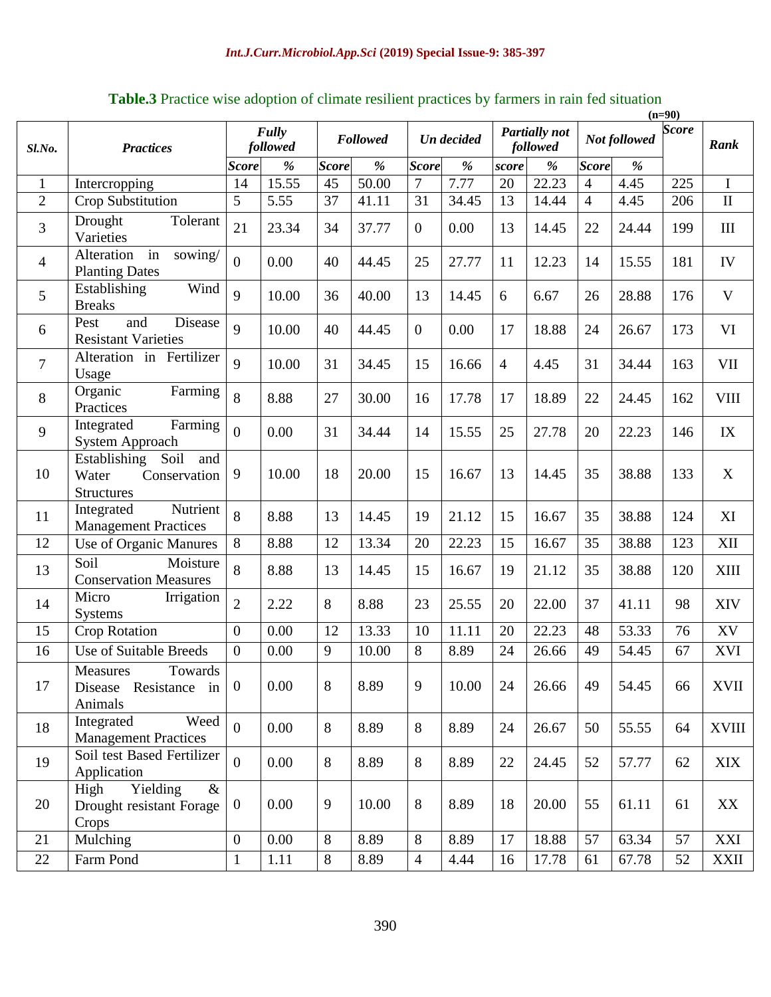|                            |                                                                           |                  |                          |                 |       |                |       |                                  |               |                |       | $(n=90)$     |              |
|----------------------------|---------------------------------------------------------------------------|------------------|--------------------------|-----------------|-------|----------------|-------|----------------------------------|---------------|----------------|-------|--------------|--------------|
| <b>Practices</b><br>Sl.No. |                                                                           |                  | <b>Fully</b><br>followed | <b>Followed</b> |       | Un decided     |       | <b>Partially</b> not<br>followed |               | Not followed   |       | <b>Score</b> | Rank         |
|                            |                                                                           | <b>Score</b>     | $\frac{9}{6}$            | <b>Score</b>    | %     | <b>Score</b>   | %     | score                            | $\frac{9}{6}$ | <b>Score</b>   | %     |              |              |
| $\mathbf{1}$               | Intercropping                                                             | 14               | 15.55                    | 45              | 50.00 | $\overline{7}$ | 7.77  | 20                               | 22.23         | $\overline{4}$ | 4.45  | 225          | I            |
| $\overline{2}$             | Crop Substitution                                                         | 5                | 5.55                     | 37              | 41.11 | 31             | 34.45 | 13                               | 14.44         | $\overline{4}$ | 4.45  | 206          | $\mathbf{I}$ |
| $\overline{3}$             | Tolerant<br>Drought<br>Varieties                                          | 21               | 23.34                    | 34              | 37.77 | $\overline{0}$ | 0.00  | 13                               | 14.45         | 22             | 24.44 | 199          | $\rm III$    |
| $\overline{4}$             | in<br>Alteration<br>sowing/<br><b>Planting Dates</b>                      | $\overline{0}$   | 0.00                     | 40              | 44.45 | 25             | 27.77 | 11                               | 12.23         | 14             | 15.55 | 181          | IV           |
| 5                          | Wind<br>Establishing<br><b>Breaks</b>                                     | 9                | 10.00                    | 36              | 40.00 | 13             | 14.45 | 6                                | 6.67          | 26             | 28.88 | 176          | V            |
| 6                          | and<br>Disease<br>Pest<br><b>Resistant Varieties</b>                      | 9                | 10.00                    | 40              | 44.45 | $\overline{0}$ | 0.00  | 17                               | 18.88         | 24             | 26.67 | 173          | VI           |
| $\tau$                     | Alteration in Fertilizer<br>Usage                                         | 9                | 10.00                    | 31              | 34.45 | 15             | 16.66 | $\overline{4}$                   | 4.45          | 31             | 34.44 | 163          | <b>VII</b>   |
| 8                          | Organic<br>Farming<br>Practices                                           | 8                | 8.88                     | 27              | 30.00 | 16             | 17.78 | 17                               | 18.89         | 22             | 24.45 | 162          | <b>VIII</b>  |
| 9                          | Farming<br>Integrated<br>System Approach                                  | $\overline{0}$   | 0.00                     | 31              | 34.44 | 14             | 15.55 | 25                               | 27.78         | 20             | 22.23 | 146          | IX           |
| 10                         | Establishing<br>Soil<br>and<br>Water<br>Conservation<br><b>Structures</b> | 9                | 10.00                    | 18              | 20.00 | 15             | 16.67 | 13                               | 14.45         | 35             | 38.88 | 133          | X            |
| 11                         | Nutrient<br>Integrated<br><b>Management Practices</b>                     | 8                | 8.88                     | 13              | 14.45 | 19             | 21.12 | 15                               | 16.67         | 35             | 38.88 | 124          | XI           |
| 12                         | Use of Organic Manures                                                    | 8                | 8.88                     | 12              | 13.34 | 20             | 22.23 | 15                               | 16.67         | 35             | 38.88 | 123          | XII          |
| 13                         | Soil<br>Moisture<br><b>Conservation Measures</b>                          | 8                | 8.88                     | 13              | 14.45 | 15             | 16.67 | 19                               | 21.12         | 35             | 38.88 | 120          | <b>XIII</b>  |
| 14                         | Micro<br>Irrigation<br><b>Systems</b>                                     | $\overline{2}$   | 2.22                     | 8               | 8.88  | 23             | 25.55 | 20                               | 22.00         | 37             | 41.11 | 98           | <b>XIV</b>   |
| 15                         | <b>Crop Rotation</b>                                                      | $\boldsymbol{0}$ | 0.00                     | 12              | 13.33 | 10             | 11.11 | 20                               | 22.23         | 48             | 53.33 | 76           | XV           |
| 16                         | <b>Use of Suitable Breeds</b>                                             | $\overline{0}$   | 0.00                     | 9               | 10.00 | 8              | 8.89  | 24                               | 26.66         | 49             | 54.45 | 67           | <b>XVI</b>   |
| 17                         | Towards<br>Measures<br>Disease Resistance in<br>Animals                   | $\mathbf{0}$     | 0.00                     | 8               | 8.89  | 9              | 10.00 | 24                               | 26.66         | 49             | 54.45 | 66           | XVII         |
| 18                         | Integrated<br>Weed<br><b>Management Practices</b>                         | $\overline{0}$   | 0.00                     | 8               | 8.89  | 8              | 8.89  | 24                               | 26.67         | 50             | 55.55 | 64           | <b>XVIII</b> |
| 19                         | Soil test Based Fertilizer<br>Application                                 | $\overline{0}$   | 0.00                     | 8               | 8.89  | 8              | 8.89  | 22                               | 24.45         | 52             | 57.77 | 62           | <b>XIX</b>   |
| 20                         | Yielding<br>High<br>$\&$<br>Drought resistant Forage<br>Crops             | $\overline{0}$   | 0.00                     | 9               | 10.00 | 8              | 8.89  | 18                               | 20.00         | 55             | 61.11 | 61           | XX           |
| 21                         | Mulching                                                                  | $\boldsymbol{0}$ | 0.00                     | 8               | 8.89  | $8\,$          | 8.89  | 17                               | 18.88         | 57             | 63.34 | 57           | XXI          |
| 22                         | Farm Pond                                                                 | $\mathbf{1}$     | 1.11                     | 8               | 8.89  | $\overline{4}$ | 4.44  | 16                               | 17.78         | 61             | 67.78 | 52           | <b>XXII</b>  |

**Table.3** Practice wise adoption of climate resilient practices by farmers in rain fed situation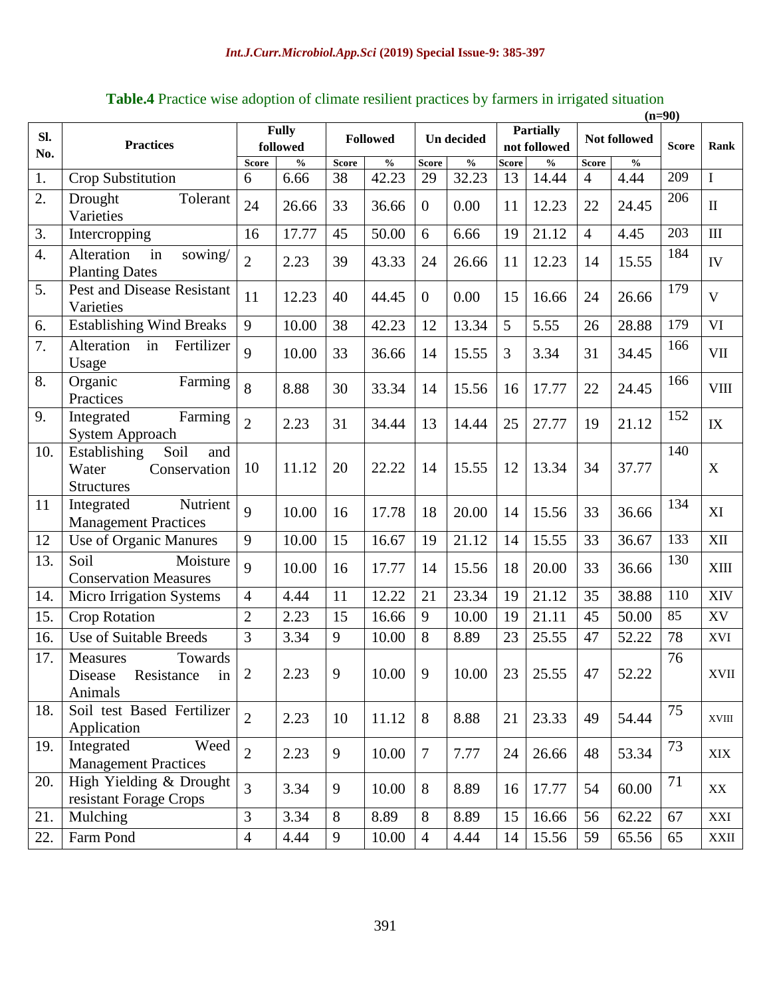| SI.<br>No.       | <b>Practices</b>                                                          | <b>Fully</b><br>followed |               | <b>Followed</b> |               | Un decided     |               | <b>Partially</b><br>not followed |                                    | Not followed   |               | <b>Score</b> | Rank         |
|------------------|---------------------------------------------------------------------------|--------------------------|---------------|-----------------|---------------|----------------|---------------|----------------------------------|------------------------------------|----------------|---------------|--------------|--------------|
|                  |                                                                           | <b>Score</b>             | $\frac{0}{0}$ | <b>Score</b>    | $\frac{0}{0}$ | <b>Score</b>   | $\frac{0}{0}$ | <b>Score</b>                     | $\mathbf{0}_{\mathbf{0}}^{\prime}$ | <b>Score</b>   | $\frac{0}{0}$ |              |              |
| 1.               | Crop Substitution                                                         | 6                        | 6.66          | 38              | 42.23         | 29             | 32.23         | 13                               | 14.44                              | $\overline{4}$ | 4.44          | 209          | $\mathbf I$  |
| 2.               | Tolerant<br>Drought<br>Varieties                                          | 24                       | 26.66         | 33              | 36.66         | $\overline{0}$ | 0.00          | 11                               | 12.23                              | 22             | 24.45         | 206          | $\mathbf{I}$ |
| 3.               | Intercropping                                                             | 16                       | 17.77         | 45              | 50.00         | 6              | 6.66          | 19                               | 21.12                              | $\overline{4}$ | 4.45          | 203          | $\rm III$    |
| $\overline{4}$ . | in<br>Alteration<br>sowing/<br><b>Planting Dates</b>                      | $\overline{2}$           | 2.23          | 39              | 43.33         | 24             | 26.66         | 11                               | 12.23                              | 14             | 15.55         | 184          | ${\rm IV}$   |
| 5.               | <b>Pest and Disease Resistant</b><br>Varieties                            | 11                       | 12.23         | 40              | 44.45         | $\overline{0}$ | 0.00          | 15                               | 16.66                              | 24             | 26.66         | 179          | $\mathbf{V}$ |
| 6.               | <b>Establishing Wind Breaks</b>                                           | 9                        | 10.00         | 38              | 42.23         | 12             | 13.34         | 5                                | 5.55                               | 26             | 28.88         | 179          | VI           |
| 7.               | in<br>Fertilizer<br>Alteration<br>Usage                                   | 9                        | 10.00         | 33              | 36.66         | 14             | 15.55         | 3                                | 3.34                               | 31             | 34.45         | 166          | <b>VII</b>   |
| 8.               | Organic<br>Farming<br>Practices                                           | 8                        | 8.88          | 30              | 33.34         | 14             | 15.56         | 16                               | 17.77                              | 22             | 24.45         | 166          | <b>VIII</b>  |
| 9.               | Farming<br>Integrated<br>System Approach                                  | $\overline{2}$           | 2.23          | 31              | 34.44         | 13             | 14.44         | 25                               | 27.77                              | 19             | 21.12         | 152          | IX           |
| 10.              | Soil<br>Establishing<br>and<br>Water<br>Conservation<br><b>Structures</b> | 10                       | 11.12         | 20              | 22.22         | 14             | 15.55         | 12                               | 13.34                              | 34             | 37.77         | 140          | $\mathbf X$  |
| 11               | Nutrient<br>Integrated<br><b>Management Practices</b>                     | $\mathbf{Q}$             | 10.00         | 16              | 17.78         | 18             | 20.00         | 14                               | 15.56                              | 33             | 36.66         | 134          | XI           |
| 12               | Use of Organic Manures                                                    | 9                        | 10.00         | 15              | 16.67         | 19             | 21.12         | 14                               | 15.55                              | 33             | 36.67         | 133          | XII          |
| 13.              | Moisture<br>Soil<br><b>Conservation Measures</b>                          | 9                        | 10.00         | 16              | 17.77         | 14             | 15.56         | 18                               | 20.00                              | 33             | 36.66         | 130          | XIII         |
| 14.              | Micro Irrigation Systems                                                  | $\overline{4}$           | 4.44          | 11              | 12.22         | 21             | 23.34         | 19                               | 21.12                              | 35             | 38.88         | 110          | XIV          |
| 15.              | <b>Crop Rotation</b>                                                      | $\overline{2}$           | 2.23          | 15              | 16.66         | 9              | 10.00         | 19                               | 21.11                              | 45             | 50.00         | 85           | XV           |
| 16.              | Use of Suitable Breeds                                                    | $\overline{3}$           | 3.34          | 9               | 10.00         | 8              | 8.89          | 23                               | 25.55                              | 47             | 52.22         | 78           | XVI          |
| 17.              | Measures<br>Towards<br>Disease Resistance in<br>Animals                   | $\overline{2}$           | 2.23          | 9               | 10.00         | 9              | 10.00         | 23                               | 25.55                              | 47             | 52.22         | 76           | XVII         |
| 18.              | Soil test Based Fertilizer<br>Application                                 | $\overline{2}$           | 2.23          | 10              | 11.12         | 8              | 8.88          | 21                               | 23.33                              | 49             | 54.44         | 75           | XVIII        |
| 19.              | Weed<br>Integrated<br><b>Management Practices</b>                         | $\overline{2}$           | 2.23          | 9               | 10.00         | $\tau$         | 7.77          | 24                               | 26.66                              | 48             | 53.34         | 73           | <b>XIX</b>   |
| 20.              | High Yielding & Drought<br>resistant Forage Crops                         | $\overline{3}$           | 3.34          | 9               | 10.00         | 8              | 8.89          | 16                               | 17.77                              | 54             | 60.00         | 71           | XX           |
| 21.              | Mulching                                                                  | $\overline{3}$           | 3.34          | 8               | 8.89          | 8              | 8.89          | 15                               | 16.66                              | 56             | 62.22         | 67           | XXI          |
| 22.              | Farm Pond                                                                 | $\overline{4}$           | 4.44          | 9               | 10.00         | $\overline{4}$ | 4.44          | 14                               | 15.56                              | 59             | 65.56         | 65           | <b>XXII</b>  |

# **Table.4** Practice wise adoption of climate resilient practices by farmers in irrigated situation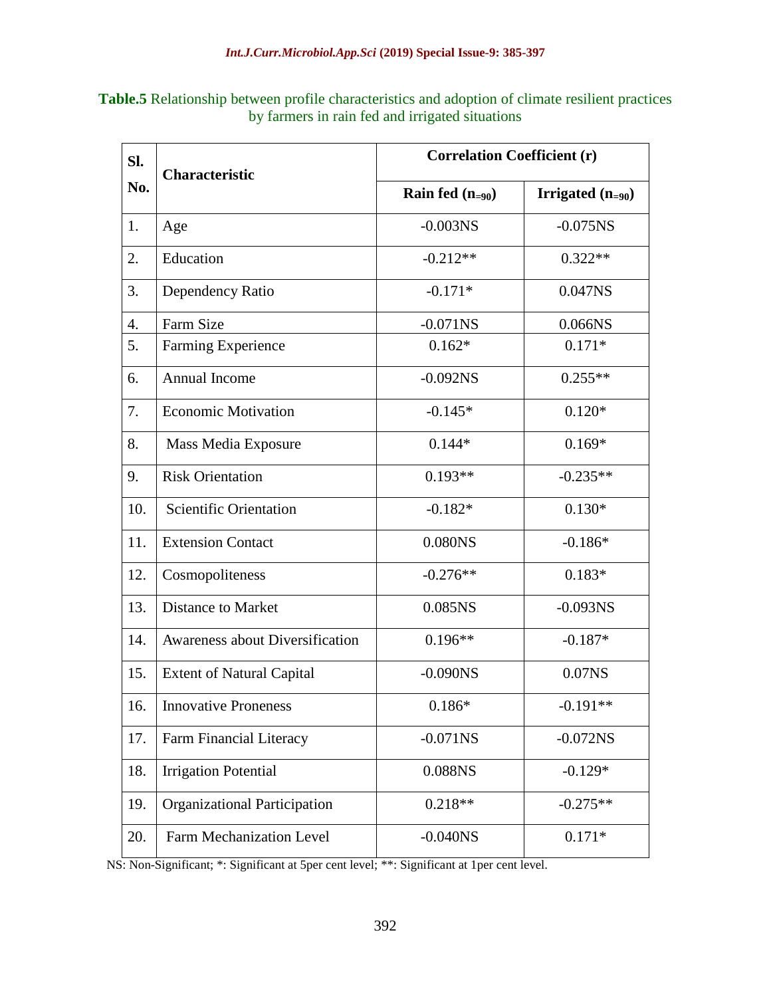| <b>Table.5</b> Relationship between profile characteristics and adoption of climate resilient practices |
|---------------------------------------------------------------------------------------------------------|
| by farmers in rain fed and irrigated situations                                                         |

| SI. | <b>Characteristic</b>                  | <b>Correlation Coefficient (r)</b> |                       |  |  |  |  |  |
|-----|----------------------------------------|------------------------------------|-----------------------|--|--|--|--|--|
| No. |                                        | Rain fed $(n_{=90})$               | Irrigated $(n_{=90})$ |  |  |  |  |  |
| 1.  | Age                                    | $-0.003$ NS                        | $-0.075$ NS           |  |  |  |  |  |
| 2.  | Education                              | $-0.212**$                         | $0.322**$             |  |  |  |  |  |
| 3.  | Dependency Ratio                       | $-0.171*$                          | 0.047NS               |  |  |  |  |  |
| 4.  | Farm Size                              | $-0.071$ NS                        | 0.066NS               |  |  |  |  |  |
| 5.  | Farming Experience                     | $0.162*$                           | $0.171*$              |  |  |  |  |  |
| 6.  | Annual Income                          | $-0.092NS$                         | $0.255**$             |  |  |  |  |  |
| 7.  | <b>Economic Motivation</b>             | $-0.145*$                          | $0.120*$              |  |  |  |  |  |
| 8.  | Mass Media Exposure                    | $0.144*$                           | $0.169*$              |  |  |  |  |  |
| 9.  | <b>Risk Orientation</b>                | $0.193**$                          | $-0.235**$            |  |  |  |  |  |
| 10. | <b>Scientific Orientation</b>          | $-0.182*$                          | $0.130*$              |  |  |  |  |  |
| 11. | <b>Extension Contact</b>               | 0.080NS                            | $-0.186*$             |  |  |  |  |  |
| 12. | Cosmopoliteness                        | $-0.276**$                         | $0.183*$              |  |  |  |  |  |
| 13. | <b>Distance to Market</b>              | 0.085NS                            | $-0.093$ NS           |  |  |  |  |  |
| 14. | <b>Awareness about Diversification</b> | $0.196**$                          | $-0.187*$             |  |  |  |  |  |
| 15. | <b>Extent of Natural Capital</b>       | $-0.090NS$                         | $0.07$ NS             |  |  |  |  |  |
| 16. | <b>Innovative Proneness</b>            | $0.186*$                           | $-0.191**$            |  |  |  |  |  |
| 17. | Farm Financial Literacy                | $-0.071$ NS                        | $-0.072$ NS           |  |  |  |  |  |
| 18. | <b>Irrigation Potential</b>            | 0.088NS                            | $-0.129*$             |  |  |  |  |  |
| 19. | <b>Organizational Participation</b>    | $0.218**$                          | $-0.275**$            |  |  |  |  |  |
| 20. | <b>Farm Mechanization Level</b>        | $-0.040$ <sub>NS</sub>             | $0.171*$              |  |  |  |  |  |

NS: Non-Significant; \*: Significant at 5per cent level; \*\*: Significant at 1per cent level.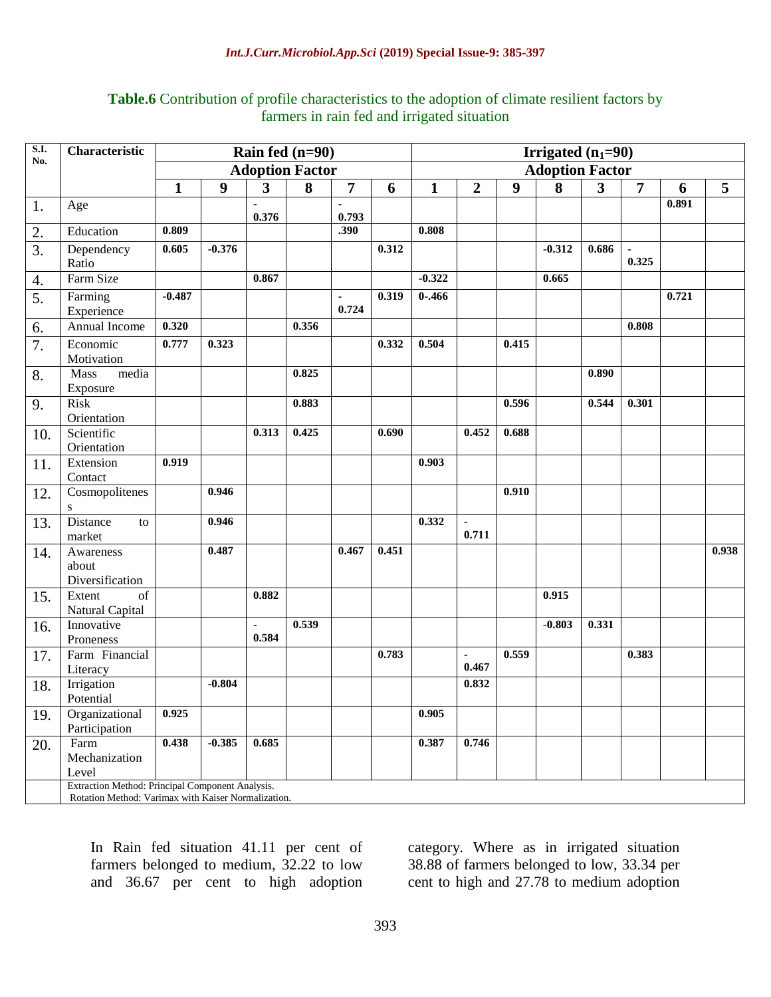## **Table.6** Contribution of profile characteristics to the adoption of climate resilient factors by farmers in rain fed and irrigated situation

| <b>S.I.</b>      | Characteristic                                      | Rain fed $(n=90)$      |          |                         |       |                        |       | <b>Irrigated</b> $(n_1=90)$ |                  |                  |          |              |                         |       |       |
|------------------|-----------------------------------------------------|------------------------|----------|-------------------------|-------|------------------------|-------|-----------------------------|------------------|------------------|----------|--------------|-------------------------|-------|-------|
| No.              |                                                     | <b>Adoption Factor</b> |          |                         |       | <b>Adoption Factor</b> |       |                             |                  |                  |          |              |                         |       |       |
|                  |                                                     | 1                      | 9        | $\overline{\mathbf{3}}$ | 8     | $\overline{7}$         | 6     | $\mathbf{1}$                | $\boldsymbol{2}$ | $\boldsymbol{9}$ | 8        | $\mathbf{3}$ | $\overline{7}$          | 6     | 5     |
| 1.               | Age                                                 |                        |          | ×                       |       | ÷,                     |       |                             |                  |                  |          |              |                         | 0.891 |       |
|                  |                                                     | 0.809                  |          | 0.376                   |       | 0.793<br>.390          |       | 0.808                       |                  |                  |          |              |                         |       |       |
| 2.               | Education                                           |                        |          |                         |       |                        |       |                             |                  |                  |          |              |                         |       |       |
| 3.               | Dependency                                          | 0.605                  | $-0.376$ |                         |       |                        | 0.312 |                             |                  |                  | $-0.312$ | 0.686        | $\blacksquare$<br>0.325 |       |       |
|                  | Ratio                                               |                        |          |                         |       |                        |       |                             |                  |                  |          |              |                         |       |       |
| 4.               | Farm Size                                           |                        |          | 0.867                   |       |                        |       | $-0.322$                    |                  |                  | 0.665    |              |                         |       |       |
| $\overline{5}$ . | Farming                                             | $-0.487$               |          |                         |       | $\sim$                 | 0.319 | $0 - .466$                  |                  |                  |          |              |                         | 0.721 |       |
|                  | Experience                                          |                        |          |                         |       | 0.724                  |       |                             |                  |                  |          |              |                         |       |       |
| 6.               | Annual Income                                       | 0.320                  |          |                         | 0.356 |                        |       |                             |                  |                  |          |              | 0.808                   |       |       |
| 7.               | Economic                                            | 0.777                  | 0.323    |                         |       |                        | 0.332 | 0.504                       |                  | 0.415            |          |              |                         |       |       |
|                  | Motivation                                          |                        |          |                         |       |                        |       |                             |                  |                  |          |              |                         |       |       |
| 8.               | Mass<br>media                                       |                        |          |                         | 0.825 |                        |       |                             |                  |                  |          | 0.890        |                         |       |       |
|                  | Exposure                                            |                        |          |                         |       |                        |       |                             |                  |                  |          |              |                         |       |       |
| 9.               | <b>Risk</b>                                         |                        |          |                         | 0.883 |                        |       |                             |                  | 0.596            |          | 0.544        | 0.301                   |       |       |
|                  | Orientation                                         |                        |          |                         |       |                        |       |                             |                  |                  |          |              |                         |       |       |
| 10.              | Scientific                                          |                        |          | 0.313                   | 0.425 |                        | 0.690 |                             | 0.452            | 0.688            |          |              |                         |       |       |
|                  | Orientation<br>Extension                            | 0.919                  |          |                         |       |                        |       | 0.903                       |                  |                  |          |              |                         |       |       |
| 11.              | Contact                                             |                        |          |                         |       |                        |       |                             |                  |                  |          |              |                         |       |       |
| 12.              | Cosmopolitenes                                      |                        | 0.946    |                         |       |                        |       |                             |                  | 0.910            |          |              |                         |       |       |
|                  | S                                                   |                        |          |                         |       |                        |       |                             |                  |                  |          |              |                         |       |       |
| 13.              | Distance<br>to                                      |                        | 0.946    |                         |       |                        |       | 0.332                       | $\blacksquare$   |                  |          |              |                         |       |       |
|                  | market                                              |                        |          |                         |       |                        |       |                             | 0.711            |                  |          |              |                         |       |       |
| 14.              | Awareness                                           |                        | 0.487    |                         |       | 0.467                  | 0.451 |                             |                  |                  |          |              |                         |       | 0.938 |
|                  | about                                               |                        |          |                         |       |                        |       |                             |                  |                  |          |              |                         |       |       |
|                  | Diversification                                     |                        |          |                         |       |                        |       |                             |                  |                  |          |              |                         |       |       |
| 15.              | Extent<br>of                                        |                        |          | 0.882                   |       |                        |       |                             |                  |                  | 0.915    |              |                         |       |       |
|                  | Natural Capital                                     |                        |          |                         |       |                        |       |                             |                  |                  |          |              |                         |       |       |
| 16.              | Innovative                                          |                        |          | $\blacksquare$          | 0.539 |                        |       |                             |                  |                  | $-0.803$ | 0.331        |                         |       |       |
|                  | Proneness                                           |                        |          | 0.584                   |       |                        |       |                             |                  |                  |          |              |                         |       |       |
| 17.              | Farm Financial                                      |                        |          |                         |       |                        | 0.783 |                             | $\blacksquare$   | 0.559            |          |              | 0.383                   |       |       |
|                  | Literacy                                            |                        |          |                         |       |                        |       |                             | 0.467            |                  |          |              |                         |       |       |
| 18.              | Irrigation                                          |                        | $-0.804$ |                         |       |                        |       |                             | 0.832            |                  |          |              |                         |       |       |
|                  | Potential                                           |                        |          |                         |       |                        |       |                             |                  |                  |          |              |                         |       |       |
| 19.              | Organizational                                      | 0.925                  |          |                         |       |                        |       | 0.905                       |                  |                  |          |              |                         |       |       |
|                  | Participation                                       | 0.438                  |          | 0.685                   |       |                        |       |                             |                  |                  |          |              |                         |       |       |
| 20.              | Farm                                                |                        | $-0.385$ |                         |       |                        |       | 0.387                       | 0.746            |                  |          |              |                         |       |       |
|                  | Mechanization<br>Level                              |                        |          |                         |       |                        |       |                             |                  |                  |          |              |                         |       |       |
|                  | Extraction Method: Principal Component Analysis.    |                        |          |                         |       |                        |       |                             |                  |                  |          |              |                         |       |       |
|                  | Rotation Method: Varimax with Kaiser Normalization. |                        |          |                         |       |                        |       |                             |                  |                  |          |              |                         |       |       |

In Rain fed situation 41.11 per cent of farmers belonged to medium, 32.22 to low and 36.67 per cent to high adoption category. Where as in irrigated situation 38.88 of farmers belonged to low, 33.34 per cent to high and 27.78 to medium adoption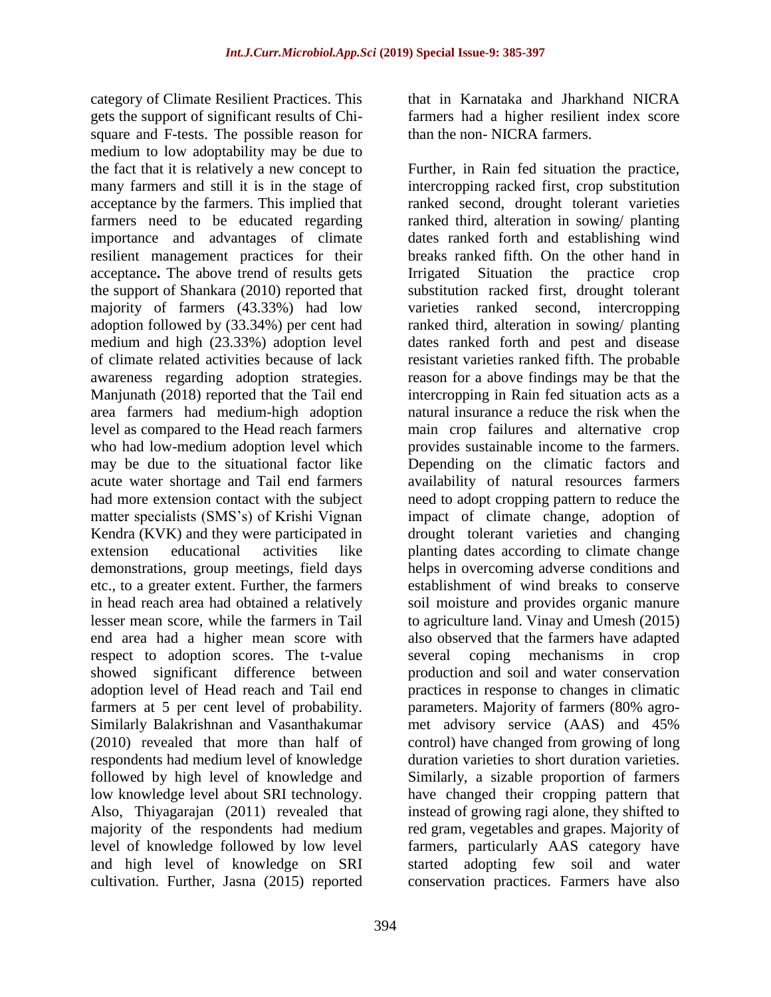category of Climate Resilient Practices. This gets the support of significant results of Chisquare and F-tests. The possible reason for medium to low adoptability may be due to the fact that it is relatively a new concept to many farmers and still it is in the stage of acceptance by the farmers. This implied that farmers need to be educated regarding importance and advantages of climate resilient management practices for their acceptance**.** The above trend of results gets the support of Shankara (2010) reported that majority of farmers (43.33%) had low adoption followed by (33.34%) per cent had medium and high (23.33%) adoption level of climate related activities because of lack awareness regarding adoption strategies. Manjunath (2018) reported that the Tail end area farmers had medium-high adoption level as compared to the Head reach farmers who had low-medium adoption level which may be due to the situational factor like acute water shortage and Tail end farmers had more extension contact with the subject matter specialists (SMS's) of Krishi Vignan Kendra (KVK) and they were participated in extension educational activities like demonstrations, group meetings, field days etc., to a greater extent. Further, the farmers in head reach area had obtained a relatively lesser mean score, while the farmers in Tail end area had a higher mean score with respect to adoption scores. The t-value showed significant difference between adoption level of Head reach and Tail end farmers at 5 per cent level of probability. Similarly Balakrishnan and Vasanthakumar (2010) revealed that more than half of respondents had medium level of knowledge followed by high level of knowledge and low knowledge level about SRI technology. Also, Thiyagarajan (2011) revealed that majority of the respondents had medium level of knowledge followed by low level and high level of knowledge on SRI cultivation. Further, Jasna (2015) reported

that in Karnataka and Jharkhand NICRA farmers had a higher resilient index score than the non- NICRA farmers.

Further, in Rain fed situation the practice, intercropping racked first, crop substitution ranked second, drought tolerant varieties ranked third, alteration in sowing/ planting dates ranked forth and establishing wind breaks ranked fifth. On the other hand in Irrigated Situation the practice crop substitution racked first, drought tolerant varieties ranked second, intercropping ranked third, alteration in sowing/ planting dates ranked forth and pest and disease resistant varieties ranked fifth. The probable reason for a above findings may be that the intercropping in Rain fed situation acts as a natural insurance a reduce the risk when the main crop failures and alternative crop provides sustainable income to the farmers. Depending on the climatic factors and availability of natural resources farmers need to adopt cropping pattern to reduce the impact of climate change, adoption of drought tolerant varieties and changing planting dates according to climate change helps in overcoming adverse conditions and establishment of wind breaks to conserve soil moisture and provides organic manure to agriculture land. Vinay and Umesh (2015) also observed that the farmers have adapted several coping mechanisms in crop production and soil and water conservation practices in response to changes in climatic parameters. Majority of farmers (80% agromet advisory service (AAS) and 45% control) have changed from growing of long duration varieties to short duration varieties. Similarly, a sizable proportion of farmers have changed their cropping pattern that instead of growing ragi alone, they shifted to red gram, vegetables and grapes. Majority of farmers, particularly AAS category have started adopting few soil and water conservation practices. Farmers have also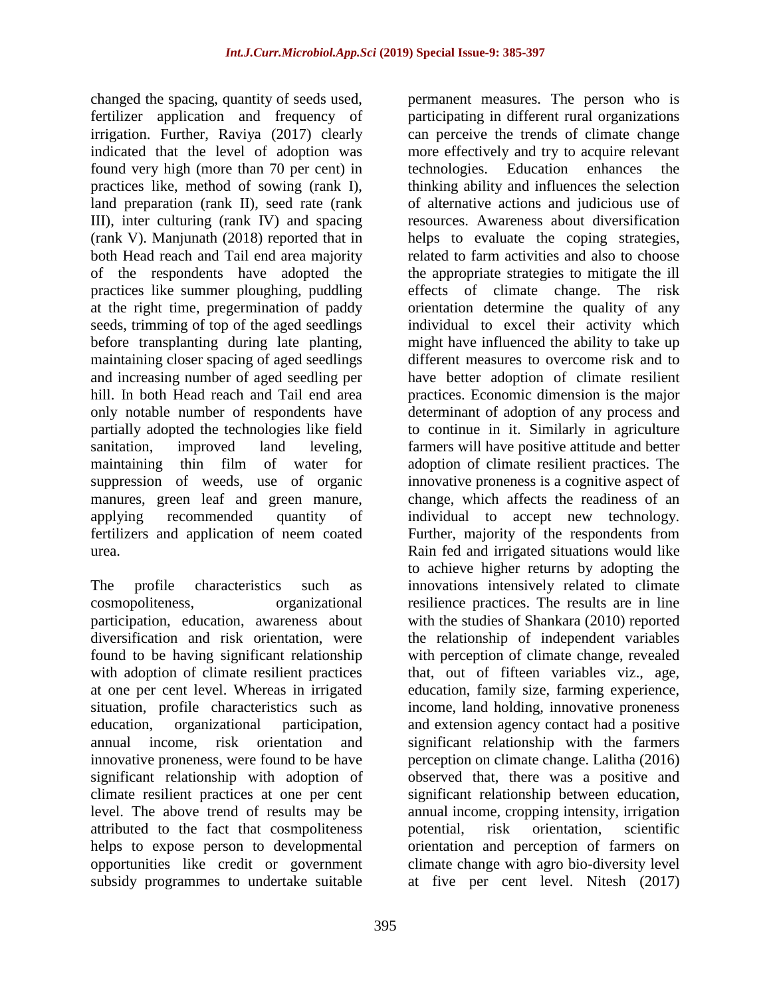changed the spacing, quantity of seeds used, fertilizer application and frequency of irrigation. Further, Raviya (2017) clearly indicated that the level of adoption was found very high (more than 70 per cent) in practices like, method of sowing (rank I), land preparation (rank II), seed rate (rank III), inter culturing (rank IV) and spacing (rank V). Manjunath (2018) reported that in both Head reach and Tail end area majority of the respondents have adopted the practices like summer ploughing, puddling at the right time, pregermination of paddy seeds, trimming of top of the aged seedlings before transplanting during late planting, maintaining closer spacing of aged seedlings and increasing number of aged seedling per hill. In both Head reach and Tail end area only notable number of respondents have partially adopted the technologies like field sanitation, improved land leveling, maintaining thin film of water for suppression of weeds, use of organic manures, green leaf and green manure, applying recommended quantity of fertilizers and application of neem coated urea.

The profile characteristics such as cosmopoliteness, organizational participation, education, awareness about diversification and risk orientation, were found to be having significant relationship with adoption of climate resilient practices at one per cent level. Whereas in irrigated situation, profile characteristics such as education, organizational participation, annual income, risk orientation and innovative proneness, were found to be have significant relationship with adoption of climate resilient practices at one per cent level. The above trend of results may be attributed to the fact that cosmpoliteness helps to expose person to developmental opportunities like credit or government subsidy programmes to undertake suitable

permanent measures. The person who is participating in different rural organizations can perceive the trends of climate change more effectively and try to acquire relevant technologies. Education enhances the thinking ability and influences the selection of alternative actions and judicious use of resources. Awareness about diversification helps to evaluate the coping strategies, related to farm activities and also to choose the appropriate strategies to mitigate the ill effects of climate change. The risk orientation determine the quality of any individual to excel their activity which might have influenced the ability to take up different measures to overcome risk and to have better adoption of climate resilient practices. Economic dimension is the major determinant of adoption of any process and to continue in it. Similarly in agriculture farmers will have positive attitude and better adoption of climate resilient practices. The innovative proneness is a cognitive aspect of change, which affects the readiness of an individual to accept new technology. Further, majority of the respondents from Rain fed and irrigated situations would like to achieve higher returns by adopting the innovations intensively related to climate resilience practices. The results are in line with the studies of Shankara (2010) reported the relationship of independent variables with perception of climate change, revealed that, out of fifteen variables viz., age, education, family size, farming experience, income, land holding, innovative proneness and extension agency contact had a positive significant relationship with the farmers perception on climate change. Lalitha (2016) observed that, there was a positive and significant relationship between education, annual income, cropping intensity, irrigation potential, risk orientation, scientific orientation and perception of farmers on climate change with agro bio-diversity level at five per cent level. Nitesh (2017)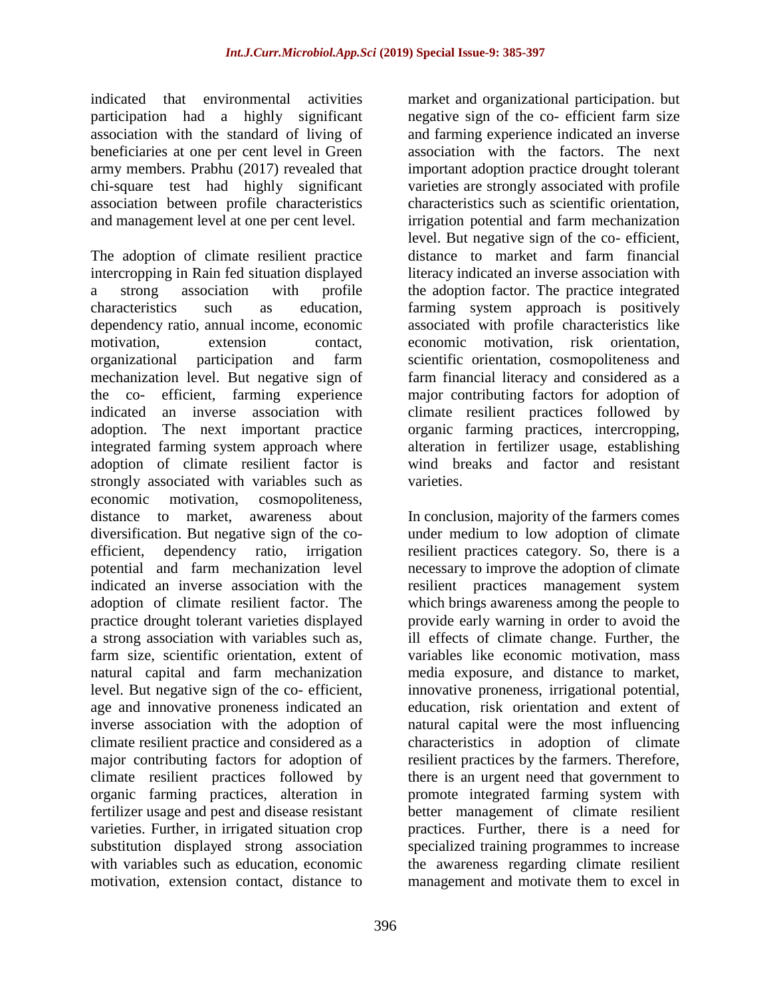indicated that environmental activities participation had a highly significant association with the standard of living of beneficiaries at one per cent level in Green army members. Prabhu (2017) revealed that chi-square test had highly significant association between profile characteristics and management level at one per cent level.

The adoption of climate resilient practice intercropping in Rain fed situation displayed a strong association with profile characteristics such as education, dependency ratio, annual income, economic motivation, extension contact, organizational participation and farm mechanization level. But negative sign of the co- efficient, farming experience indicated an inverse association with adoption. The next important practice integrated farming system approach where adoption of climate resilient factor is strongly associated with variables such as economic motivation, cosmopoliteness, distance to market, awareness about diversification. But negative sign of the coefficient, dependency ratio, irrigation potential and farm mechanization level indicated an inverse association with the adoption of climate resilient factor. The practice drought tolerant varieties displayed a strong association with variables such as, farm size, scientific orientation, extent of natural capital and farm mechanization level. But negative sign of the co- efficient, age and innovative proneness indicated an inverse association with the adoption of climate resilient practice and considered as a major contributing factors for adoption of climate resilient practices followed by organic farming practices, alteration in fertilizer usage and pest and disease resistant varieties. Further, in irrigated situation crop substitution displayed strong association with variables such as education, economic motivation, extension contact, distance to

negative sign of the co- efficient farm size and farming experience indicated an inverse association with the factors. The next important adoption practice drought tolerant varieties are strongly associated with profile characteristics such as scientific orientation, irrigation potential and farm mechanization level. But negative sign of the co- efficient, distance to market and farm financial literacy indicated an inverse association with the adoption factor. The practice integrated farming system approach is positively associated with profile characteristics like economic motivation, risk orientation, scientific orientation, cosmopoliteness and farm financial literacy and considered as a major contributing factors for adoption of climate resilient practices followed by organic farming practices, intercropping, alteration in fertilizer usage, establishing wind breaks and factor and resistant varieties.

market and organizational participation. but

In conclusion, majority of the farmers comes under medium to low adoption of climate resilient practices category. So, there is a necessary to improve the adoption of climate resilient practices management system which brings awareness among the people to provide early warning in order to avoid the ill effects of climate change. Further, the variables like economic motivation, mass media exposure, and distance to market, innovative proneness, irrigational potential, education, risk orientation and extent of natural capital were the most influencing characteristics in adoption of climate resilient practices by the farmers. Therefore, there is an urgent need that government to promote integrated farming system with better management of climate resilient practices. Further, there is a need for specialized training programmes to increase the awareness regarding climate resilient management and motivate them to excel in